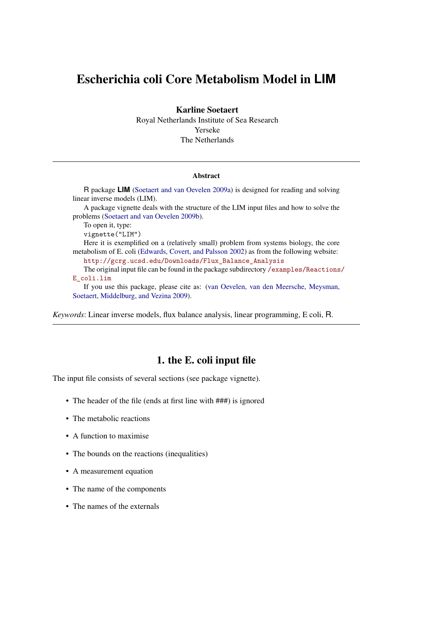# Escherichia coli Core Metabolism Model in **LIM**

Karline Soetaert

Royal Netherlands Institute of Sea Research Yerseke The Netherlands

#### Abstract

R package **LIM** [\(Soetaert and van Oevelen 2009a\)](#page-12-0) is designed for reading and solving linear inverse models (LIM). A package vignette deals with the structure of the LIM input files and how to solve the problems [\(Soetaert and van Oevelen 2009b\)](#page-12-1). To open it, type: vignette("LIM") Here it is exemplified on a (relatively small) problem from systems biology, the core metabolism of E. coli [\(Edwards, Covert, and Palsson 2002\)](#page-12-2) as from the following website: [http://gcrg.ucsd.edu/Downloads/Flux\\_Balance\\_Analysis]( http://gcrg.ucsd.edu/Downloads/Flux_Balance_Analysis) The original input file can be found in the package subdirectory [/examples/Reactions](/examples/Reactions/E_coli.lim)/ [E\\_coli.lim](/examples/Reactions/E_coli.lim) If you use this package, please cite as: [\(van Oevelen, van den Meersche, Meysman,](#page-12-3) [Soetaert, Middelburg, and Vezina 2009\)](#page-12-3).

*Keywords*: Linear inverse models, flux balance analysis, linear programming, E coli, R.

### 1. the E. coli input file

The input file consists of several sections (see package vignette).

- The header of the file (ends at first line with  $\# \# \#$ ) is ignored
- The metabolic reactions
- A function to maximise
- The bounds on the reactions (inequalities)
- A measurement equation
- The name of the components
- The names of the externals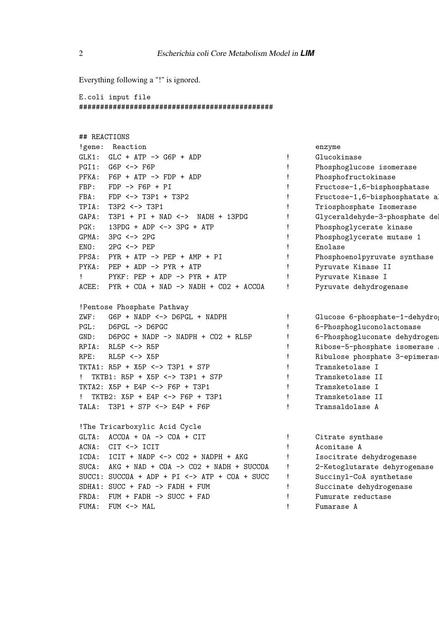Everything following a "!" is ignored.

E.coli input file ##############################################

| ## REACTIONS |                                                   |   |                                |
|--------------|---------------------------------------------------|---|--------------------------------|
|              | !gene: Reaction                                   |   | enzyme                         |
| $GLK1$ :     | $GLC + ATP \rightarrow G6P + ADP$                 | Ţ | Glucokinase                    |
| PGI1:        | $G6P \le -> F6P$                                  | Ţ | Phosphoglucose isomerase       |
| $PFKA$ :     | $F6P + ATP \rightarrow FDP + ADP$                 | Ţ | Phosphofructokinase            |
| FBP:         | $FDP \rightarrow F6P + PI$                        | Ţ | Fructose-1,6-bisphosphatase    |
| FBA:         | $FDP \le -> T3P1 + T3P2$                          | Ţ | Fructose-1,6-bisphosphatate al |
| TPIA:        | T3P2 <-> T3P1                                     | Ţ | Triosphosphate Isomerase       |
| GAPA:        | $T3P1 + PI + NAD \leftarrow$ NADH + 13PDG         | Ţ | Glyceraldehyde-3-phosphate del |
| PGK:         | $13PDG + ADP \iff 3PG + ATP$                      | Ţ | Phosphoglycerate kinase        |
| GPMA:        | $3PG \le -\ge 2PG$                                | ı | Phosphoglycerate mutase 1      |
| ENO:         | $2PG \le -$ PEP                                   | Ţ | Enolase                        |
|              | $PPSA: PYR + ATP -> PEP + AMP + PI$               | ï | Phosphoenolpyruvate synthase   |
|              | PYKA: PEP + ADP -> PYR + ATP                      | Ţ | Pyruvate Kinase II             |
| $\mathbf{I}$ | $PYKF: PEP + ADP \rightarrow PYR + ATP$           | Ţ | Pyruvate Kinase I              |
|              | ACEE: PYR + COA + NAD -> NADH + CO2 + ACCOA       | Ţ | Pyruvate dehydrogenase         |
|              |                                                   |   |                                |
|              | !Pentose Phosphate Pathway                        |   |                                |
| ZWF:         | $G6P$ + NADP $\leftarrow$ > D6PGL + NADPH         | Ţ | Glucose 6-phosphate-1-dehydrog |
|              | PGL: D6PGL -> D6PGC                               | Ţ | 6-Phosphogluconolactonase      |
| GND:         | $D6PCC + NADP \rightarrow NADPH + CO2 + RL5P$     | Ţ | 6-Phosphogluconate dehydrogen  |
|              | RPIA: RL5P <-> R5P                                | ı | Ribose-5-phosphate isomerase   |
| RPE:         | $RL5P \leftarrow > X5P$                           | Ţ | Ribulose phosphate 3-epimeras  |
|              | TKTA1: R5P + X5P <-> T3P1 + S7P                   | Ţ | Transketolase I                |
| Ţ.           | TKTB1: R5P + X5P <-> T3P1 + S7P                   | Ţ | Transketolase II               |
|              | TKTA2: X5P + E4P <-> F6P + T3P1                   | Ţ | Transketolase I                |
| Ţ            | TKTB2: X5P + E4P <-> F6P + T3P1                   | Ţ | Transketolase II               |
| TALA:        | T3P1 + S7P <-> E4P + F6P                          | Ţ | Transaldolase A                |
|              |                                                   |   |                                |
|              | !The Tricarboxylic Acid Cycle                     |   |                                |
|              | GLTA: $ACCOA + OA \rightarrow COA + CIT$          | Ţ | Citrate synthase               |
|              | ACNA: CIT <-> ICIT                                | Ţ | Aconitase A                    |
|              | ICDA: ICIT + NADP <-> CO2 + NADPH + AKG           | Ţ | Isocitrate dehydrogenase       |
| $SUCA$ :     | $AKG + NAD + COA \rightarrow CO2 + NADH + SUCCOA$ | Ţ | 2-Ketoglutarate dehyrogenase   |
|              | $SUCC1: SUCCOA + ADP + PI \iff ATP + COA + SUCC$  | Ţ | Succinyl-CoA synthetase        |
|              | $SDHA1: SUCC + FAD \rightarrow FADH + FUM$        | Ţ | Succinate dehydrogenase        |
|              | FRDA: FUM + FADH -> SUCC + FAD                    | Ţ | Fumurate reductase             |
| FUMA:        | $FUM \le -$ MAL                                   | ı | Fumarase A                     |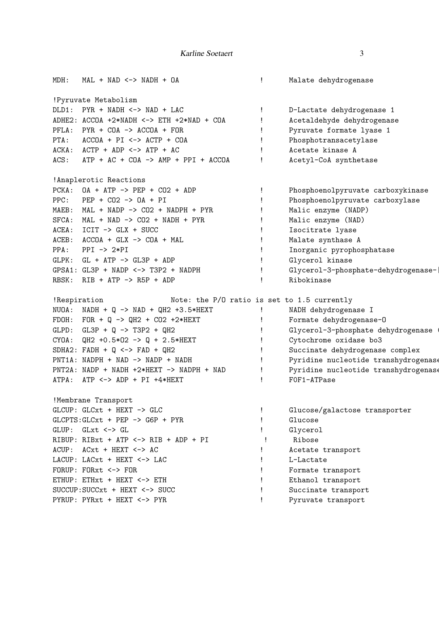| MDH:  | $MAL + NAD <-> NADH + OA$                                     | Ţ.           | Malate dehydrogenase                 |
|-------|---------------------------------------------------------------|--------------|--------------------------------------|
|       | !Pyruvate Metabolism                                          |              |                                      |
|       | $DLD1: PYR + NADH < -> NAD + LAC$                             | Ţ            | D-Lactate dehydrogenase 1            |
|       | ADHE2: $ACCOA$ +2*NADH <-> $ETH$ +2*NAD + $COA$               | Ţ            | Acetaldehyde dehydrogenase           |
|       | $PFLA: PYR + COA \rightarrow ACCOA + FOR$                     | Ţ            | Pyruvate formate lyase 1             |
|       | PTA: $\text{ACCOA} + \text{PI} \iff \text{ACTP} + \text{COA}$ | Ţ.           | Phosphotransacetylase                |
|       | $ACKA:$ $ACTP + ADP \le -> ATP + AC$                          | Ţ            | Acetate kinase A                     |
| ACS:  | $ATP + AC + COA \rightarrow AMP + PPI + ACCOA$                | Ţ            | Acetyl-CoA synthetase                |
|       | !Anaplerotic Reactions                                        |              |                                      |
|       | $PCKA: OA + ATP -> PEP + CO2 + ADP$                           | Ţ            | Phosphoenolpyruvate carboxykinase    |
|       | $PPC:$ $PEP + CO2 \rightarrow OA + PI$                        | Ţ            | Phosphoenolpyruvate carboxylase      |
|       | MAEB: MAL + NADP $\rightarrow$ CO2 + NADPH + PYR              | Ţ            | Malic enzyme (NADP)                  |
|       | $SFCA: MAL + NAD -> CO2 + NADH + PYR$                         | Ţ.           | Malic enzyme (NAD)                   |
|       | $ACEA: ICIT \rightarrow GLX + SUCC$                           | Ţ            | Isocitrate lyase                     |
|       | $ACEB: ACCOA + GLX -> COA + MAL$                              | Ţ            | Malate synthase A                    |
| PPA:  | $PPI$ -> $2*PI$                                               | Ţ            | Inorganic pyrophosphatase            |
|       | $GLPK: GL + ATP \rightarrow GL3P + ADP$                       | Ţ            | Glycerol kinase                      |
|       | $GPSA1: GL3P + NADP \iff T3P2 + NADPH$                        | Ţ            | Glycerol-3-phosphate-dehydrogenase-  |
|       | RBSK: RIB + ATP $\rightarrow$ R5P + ADP                       | Ţ            | Ribokinase                           |
|       | Note: the P/O ratio is set to 1.5 currently<br>!Respiration   |              |                                      |
|       | NUOA: NADH + Q -> NAD + QH2 +3.5*HEXT                         | Ţ            | NADH dehydrogenase I                 |
|       | FDOH: FOR + Q -> QH2 + CO2 +2*HEXT                            |              | Formate dehydrogenase-0              |
|       | GLPD: $GL3P + Q \rightarrow T3P2 + QH2$                       |              | Glycerol-3-phosphate dehydrogenase   |
| CYOA: | $QH2 + 0.5*02 \rightarrow Q + 2.5*HEXT$                       | Ţ            | Cytochrome oxidase bo3               |
|       | SDHA2: $FADH + Q \le -> FAD + QH2$                            | $\mathbf{I}$ | Succinate dehydrogenase complex      |
|       | PNT1A: NADPH + NAD -> NADP + NADH                             | $\mathbf{I}$ | Pyridine nucleotide transhydrogenase |
|       | PNT2A: NADP + NADH +2*HEXT -> NADPH + NAD                     | Ţ            | Pyridine nucleotide transhydrogenase |
|       | ATPA: ATP <-> ADP + PI +4*HEXT                                | Ţ            | FOF1-ATPase                          |
|       | !Membrane Transport                                           |              |                                      |
|       | GLCUP: GLCxt + HEXT -> GLC                                    |              | Glucose/galactose transporter        |
|       | $GLCPTS: GLCxt + PEP \rightarrow G6P + PYR$                   |              | Glucose                              |
|       | $GLUP: GLxt < \rightarrow GL$                                 |              | Glycerol                             |
|       | RIBUP: RIBxt + ATP <-> RIB + ADP + PI                         |              | Ribose                               |
|       | ACUP: ACxt + HEXT <-> AC                                      |              | Acetate transport                    |
|       | LACUP: LACxt + HEXT <-> LAC                                   |              | L-Lactate                            |
|       | FORUP: FORxt <-> FOR                                          |              | Formate transport                    |
|       | ETHUP: ETHxt + HEXT <-> ETH                                   |              | Ethanol transport                    |
|       | $SUCCUP: SUCCxt + HEXT \leftarrow > SUCC$                     |              | Succinate transport                  |
|       | PYRUP: PYRxt + HEXT <-> PYR                                   |              | Pyruvate transport                   |
|       |                                                               |              |                                      |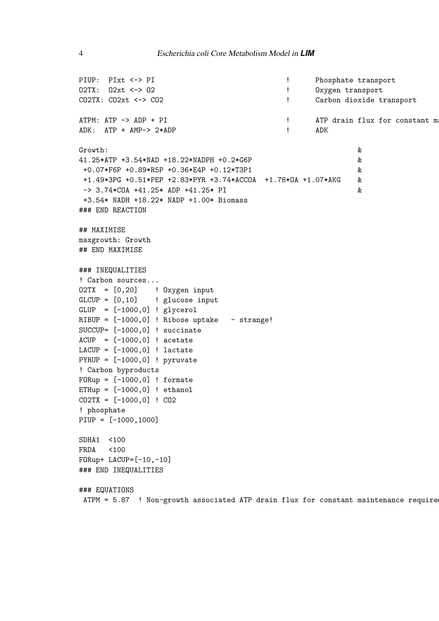```
PIUP: PIxt <-> PI ! Phosphate transport
O2TX: O2xt <-> O2 <br>
BETA: O2xt <-> O2 <br>
Oxygen transport
CO2TX: CO2xt <-> CO2 | CO2TX: CO2xt <-> CO2
ATPM: ATP -> ADP + PI \qquad | ATP drain flux for constant m
ADK: ATP + AMP-> 2*ADP ! ADK
Growth: &
41.25*ATP +3.54*NAD +18.22*NADPH +0.2*G6P &
+0.07*F6P +0.89*R5P +0.36*E4P +0.12*T3P1 &
+1.49*3PG +0.51*PEP +2.83*PYR +3.74*ACCOA +1.78*OA +1.07*AKG &
-> 3.74*COA +41.25* ADP +41.25* PI &
+3.54* NADH +18.22* NADP +1.00* Biomass
### END REACTION
## MAXIMISE
maxgrowth: Growth
## END MAXIMISE
### INEQUALITIES
! Carbon sources...
O2TX = [0,20] ! Oxygen input
GLCUP = [0, 10] ! glucose input
GLUP = [-1000,0] ! glycerol
RIBUP = [-1000, 0] ! Ribose uptake - strange!
SUCCUP= [-1000,0] ! succinate
ACUP = [-1000, 0] ! acetate
LACUP = [-1000, 0] ! lactate
PYRUP = [-1000, 0] ! pyruvate
! Carbon byproducts
FORup = [-1000,0] ! formate
ETHup = [-1000, 0] ! ethanol
CO2TX = [-1000,0] ! CO2
! phosphate
PIUP = [-1000,1000]
SDHA1 <100
FRDA <100
FORup+ LACUP=[-10,-10]
### END INEQUALITIES
### EQUATIONS
ATPM = 5.87 ! Non-growth associated ATP drain flux for constant maintenance require
```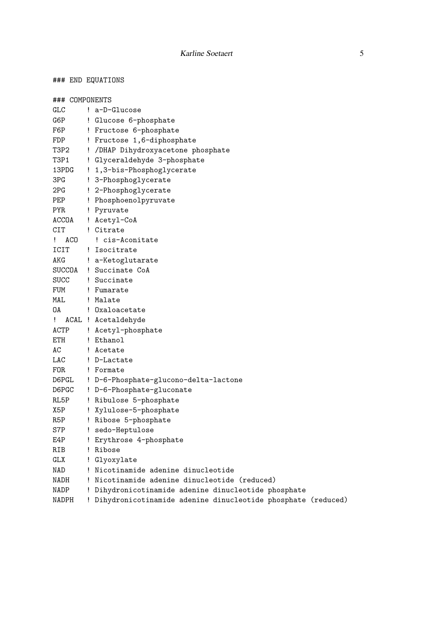### END EQUATIONS

|           |                                                                                                                                                                                                                                                     | ! a-D-Glucose                                                |
|-----------|-----------------------------------------------------------------------------------------------------------------------------------------------------------------------------------------------------------------------------------------------------|--------------------------------------------------------------|
|           |                                                                                                                                                                                                                                                     | ! Glucose 6-phosphate                                        |
|           |                                                                                                                                                                                                                                                     | ! Fructose 6-phosphate                                       |
|           |                                                                                                                                                                                                                                                     | ! Fructose 1,6-diphosphate                                   |
|           |                                                                                                                                                                                                                                                     | ! /DHAP Dihydroxyacetone phosphate                           |
|           |                                                                                                                                                                                                                                                     | ! Glyceraldehyde 3-phosphate                                 |
| 13PDG     |                                                                                                                                                                                                                                                     | ! 1,3-bis-Phosphoglycerate                                   |
|           |                                                                                                                                                                                                                                                     | ! 3-Phosphoglycerate                                         |
|           |                                                                                                                                                                                                                                                     | ! 2-Phosphoglycerate                                         |
|           |                                                                                                                                                                                                                                                     | ! Phosphoenolpyruvate                                        |
|           |                                                                                                                                                                                                                                                     | ! Pyruvate                                                   |
|           |                                                                                                                                                                                                                                                     | ! Acetyl-CoA                                                 |
|           |                                                                                                                                                                                                                                                     | ! Citrate                                                    |
| ACO<br>Ţ. |                                                                                                                                                                                                                                                     | ! cis-Aconitate                                              |
|           |                                                                                                                                                                                                                                                     | ! Isocitrate                                                 |
|           |                                                                                                                                                                                                                                                     | ! a-Ketoglutarate                                            |
|           |                                                                                                                                                                                                                                                     | SUCCOA ! Succinate CoA                                       |
|           |                                                                                                                                                                                                                                                     | SUCC ! Succinate                                             |
|           |                                                                                                                                                                                                                                                     |                                                              |
|           |                                                                                                                                                                                                                                                     | ! Malate                                                     |
| OA        |                                                                                                                                                                                                                                                     | ! Oxaloacetate                                               |
| Ţ.        |                                                                                                                                                                                                                                                     | ACAL ! Acetaldehyde                                          |
|           |                                                                                                                                                                                                                                                     | ! Acetyl-phosphate                                           |
|           |                                                                                                                                                                                                                                                     | ! Ethanol                                                    |
|           |                                                                                                                                                                                                                                                     | ! Acetate                                                    |
|           |                                                                                                                                                                                                                                                     | ! D-Lactate                                                  |
|           |                                                                                                                                                                                                                                                     | ! Formate                                                    |
|           |                                                                                                                                                                                                                                                     | ! D-6-Phosphate-glucono-delta-lactone                        |
|           |                                                                                                                                                                                                                                                     | ! D-6-Phosphate-gluconate                                    |
|           |                                                                                                                                                                                                                                                     | ! Ribulose 5-phosphate                                       |
|           |                                                                                                                                                                                                                                                     | ! Xylulose-5-phosphate                                       |
|           |                                                                                                                                                                                                                                                     | ! Ribose 5-phosphate                                         |
|           |                                                                                                                                                                                                                                                     | sedo-Heptulose                                               |
|           |                                                                                                                                                                                                                                                     | Erythrose 4-phosphate                                        |
|           |                                                                                                                                                                                                                                                     | ! Ribose                                                     |
|           |                                                                                                                                                                                                                                                     | ! Glyoxylate                                                 |
|           |                                                                                                                                                                                                                                                     | ! Nicotinamide adenine dinucleotide                          |
|           |                                                                                                                                                                                                                                                     | ! Nicotinamide adenine dinucleotide (reduced)                |
|           |                                                                                                                                                                                                                                                     | ! Dihydronicotinamide adenine dinucleotide phosphate         |
|           | ŗ.                                                                                                                                                                                                                                                  | Dihydronicotinamide adenine dinucleotide phosphate (reduced) |
|           | GLC<br>G6P<br>F6P<br>FDP<br>T3P2<br>T3P1<br>3PG<br>2PG<br>PEP<br>PYR<br>CIT<br>ICIT<br>AKG<br>MAL<br>ACTP<br>ETH<br>AC<br>LAC<br>FOR.<br>$\mathop{\mathtt{DGPC}}$<br>RL5P<br>X5P<br>R5P<br>S7P<br>E4P<br>RIB<br>GLX<br>NAD<br>NADH<br>NADP<br>NADPH | ### COMPONENTS<br>ACCOA<br>FUM ! Fumarate<br>D6PGL           |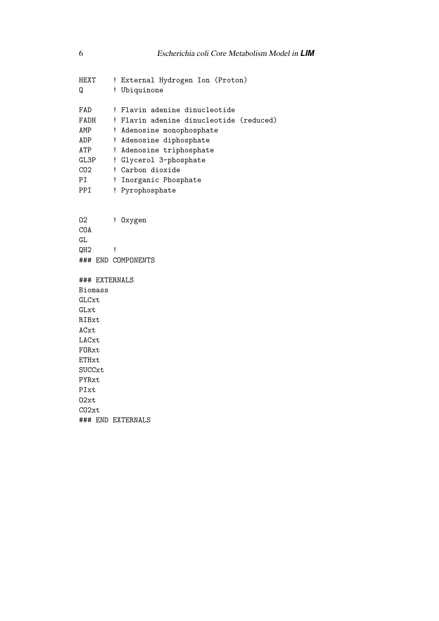HEXT ! External Hydrogen Ion (Proton) Q ! Ubiquinone FAD ! Flavin adenine dinucleotide FADH ! Flavin adenine dinucleotide (reduced) AMP ! Adenosine monophosphate ADP ! Adenosine diphosphate ATP ! Adenosine triphosphate GL3P ! Glycerol 3-phosphate CO2 ! Carbon dioxide PI ! Inorganic Phosphate PPI ! Pyrophosphate O2 ! Oxygen COA GL  $QH2$  ! ### END COMPONENTS ### EXTERNALS Biomass GLCxt GLxt RIBxt ACxt LACxt FORxt ETHxt SUCCxt PYRxt PIxt O2xt CO2xt

### END EXTERNALS

6 Escherichia coli Core Metabolism Model in *LIM*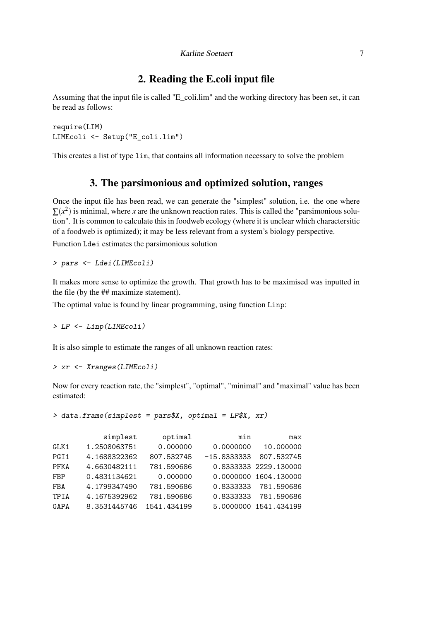### 2. Reading the E.coli input file

Assuming that the input file is called "E\_coli.lim" and the working directory has been set, it can be read as follows:

```
require(LIM)
LIMEcoli <- Setup("E_coli.lim")
```
This creates a list of type lim, that contains all information necessary to solve the problem

#### 3. The parsimonious and optimized solution, ranges

Once the input file has been read, we can generate the "simplest" solution, i.e. the one where  $\sum(x^2)$  is minimal, where *x* are the unknown reaction rates. This is called the "parsimonious solution". It is common to calculate this in foodweb ecology (where it is unclear which charactersitic of a foodweb is optimized); it may be less relevant from a system's biology perspective.

Function Ldei estimates the parsimonious solution

*> pars <- Ldei(LIMEcoli)*

It makes more sense to optimize the growth. That growth has to be maximised was inputted in the file (by the ## maximize statement).

The optimal value is found by linear programming, using function Linp:

*> LP <- Linp(LIMEcoli)*

It is also simple to estimate the ranges of all unknown reaction rates:

```
> xr <- Xranges(LIMEcoli)
```
Now for every reaction rate, the "simplest", "optimal", "minimal" and "maximal" value has been estimated:

*> data.frame(simplest = pars\$X, optimal = LP\$X, xr)*

|      | simplest     | optimal     | min           | max                   |
|------|--------------|-------------|---------------|-----------------------|
| GLK1 | 1.2508063751 | 0.000000    | 0.0000000     | 10.000000             |
| PGI1 | 4.1688322362 | 807.532745  | $-15.8333333$ | 807.532745            |
| PFKA | 4.6630482111 | 781.590686  |               | 0.8333333 2229.130000 |
| FBP  | 0.4831134621 | 0.000000    |               | 0.0000000 1604.130000 |
| FBA  | 4.1799347490 | 781.590686  | 0.8333333     | 781.590686            |
| TPIA | 4.1675392962 | 781.590686  | 0.8333333     | 781.590686            |
| GAPA | 8.3531445746 | 1541.434199 |               | 5.0000000 1541.434199 |
|      |              |             |               |                       |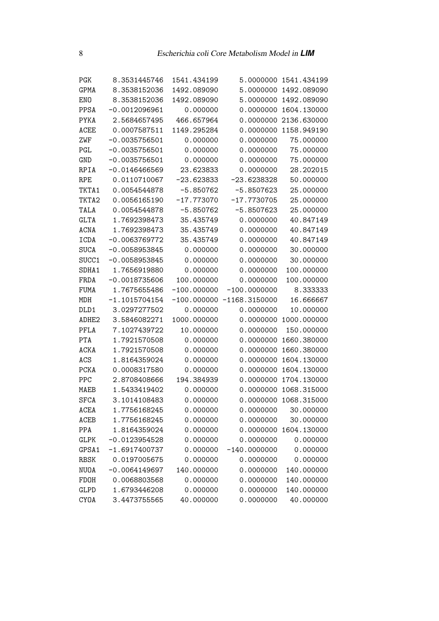| PGK               | 8.3531445746    | 1541.434199   | 5.0000000                    | 1541.434199 |
|-------------------|-----------------|---------------|------------------------------|-------------|
| <b>GPMA</b>       | 8.3538152036    | 1492.089090   | 5.0000000                    | 1492.089090 |
| <b>ENO</b>        | 8.3538152036    | 1492.089090   | 5.0000000                    | 1492.089090 |
| PPSA              | $-0.0012096961$ | 0.000000      | 0.0000000                    | 1604.130000 |
| PYKA              | 2.5684657495    | 466.657964    | 0.0000000                    | 2136.630000 |
| ACEE              | 0.0007587511    | 1149.295284   | 0.0000000                    | 1158.949190 |
| ZWF               | $-0.0035756501$ | 0.000000      | 0.0000000                    | 75.000000   |
| PGL               | $-0.0035756501$ | 0.000000      | 0.0000000                    | 75.000000   |
| GND               | $-0.0035756501$ | 0.000000      | 0.0000000                    | 75.000000   |
| RPIA              | $-0.0146466569$ | 23.623833     | 0.0000000                    | 28.202015   |
| <b>RPE</b>        | 0.0110710067    | $-23.623833$  | $-23.6238328$                | 50.000000   |
| TKTA1             | 0.0054544878    | $-5.850762$   | $-5.8507623$                 | 25.000000   |
| TKTA2             | 0.0056165190    | $-17.773070$  | $-17.7730705$                | 25.000000   |
| TALA              | 0.0054544878    | $-5.850762$   | $-5.8507623$                 | 25.000000   |
| <b>GLTA</b>       | 1.7692398473    | 35.435749     | 0.0000000                    | 40.847149   |
| ACNA              | 1.7692398473    | 35.435749     | 0.0000000                    | 40.847149   |
| ICDA              | $-0.0063769772$ | 35.435749     | 0.0000000                    | 40.847149   |
| <b>SUCA</b>       | $-0.0058953845$ | 0.000000      | 0.0000000                    | 30.000000   |
| SUCC1             | $-0.0058953845$ | 0.000000      | 0.0000000                    | 30.000000   |
| SDHA1             | 1.7656919880    | 0.000000      | 0.0000000                    | 100.000000  |
| FRDA              | $-0.0018735606$ | 100.000000    | 0.0000000                    | 100.000000  |
| <b>FUMA</b>       | 1.7675655486    | $-100.000000$ | $-100.0000000$               | 8.333333    |
| MDH               | $-1.1015704154$ |               | $-100.000000 - 1168.3150000$ | 16.666667   |
| DLD1              | 3.0297277502    | 0.000000      | 0.0000000                    | 10.000000   |
| ADHE <sub>2</sub> | 3.5846082271    | 1000.000000   | 0.0000000                    | 1000.000000 |
| PFLA              | 7.1027439722    | 10.000000     | 0.0000000                    | 150.000000  |
| PTA               | 1.7921570508    | 0.000000      | 0.0000000                    | 1660.380000 |
| ACKA              | 1.7921570508    | 0.000000      | 0.0000000                    | 1660.380000 |
| ACS               | 1.8164359024    | 0.000000      | 0.0000000                    | 1604.130000 |
| PCKA              | 0.0008317580    | 0.000000      | 0.0000000                    | 1604.130000 |
| PPC               | 2.8708408666    | 194.384939    | 0.0000000                    | 1704.130000 |
| MAEB              | 1.5433419402    | 0.000000      | 0.0000000                    | 1068.315000 |
| <b>SFCA</b>       | 3.1014108483    | 0.000000      | 0.0000000                    | 1068.315000 |
| ACEA              | 1.7756168245    | 0.000000      | 0.0000000                    | 30.000000   |
| ACEB              | 1.7756168245    | 0.000000      | 0.0000000                    | 30.000000   |
| PPA               | 1.8164359024    | 0.000000      | 0.0000000                    | 1604.130000 |
| <b>GLPK</b>       | $-0.0123954528$ | 0.000000      | 0.0000000                    | 0.000000    |
| GPSA1             | $-1.6917400737$ | 0.000000      | $-140.0000000$               | 0.000000    |
| RBSK              | 0.0197005675    | 0.000000      | 0.0000000                    | 0.000000    |
| NUOA              | $-0.0064149697$ | 140.000000    | 0.0000000                    | 140.000000  |
| FDOH              | 0.0068803568    | 0.000000      | 0.0000000                    | 140.000000  |
| GLPD              | 1.6793446208    | 0.000000      | 0.0000000                    | 140.000000  |
| CYOA              | 3.4473755565    | 40.000000     | 0.0000000                    | 40.000000   |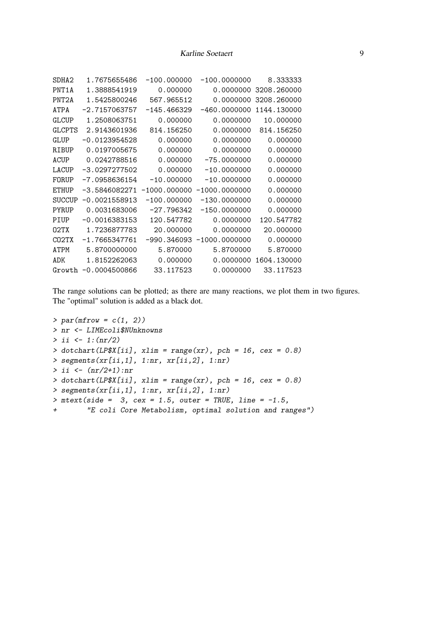| SDHA <sub>2</sub>  | 1.7675655486           | $-100.000000$  | $-100.0000000$  | 8.333333    |
|--------------------|------------------------|----------------|-----------------|-------------|
| PNT1A              | 1.3888541919           | 0.000000       | 0.0000000       | 3208.260000 |
| PNT <sub>2</sub> A | 1.5425800246           | 567.965512     | 0.0000000       | 3208.260000 |
| ATPA               | $-2.7157063757$        | $-145.466329$  | $-460.0000000$  | 1144.130000 |
| GLCUP              | 1.2508063751           | 0.000000       | 0.0000000       | 10.000000   |
| <b>GLCPTS</b>      | 2.9143601936           | 814.156250     | 0.0000000       | 814.156250  |
| GLUP               | $-0.0123954528$        | 0.000000       | 0.0000000       | 0.000000    |
| RIBUP              | 0.0197005675           | 0.000000       | 0.0000000       | 0.000000    |
| ACUP               | 0.0242788516           | 0.000000       | $-75.0000000$   | 0.000000    |
| LACUP              | $-3.0297277502$        | 0.000000       | $-10.0000000$   | 0.000000    |
| FORUP              | $-7.0958636154$        | $-10.000000$   | $-10.0000000$   | 0.000000    |
| <b>ETHUP</b>       | -3.5846082271          | $-1000.000000$ | $-1000.0000000$ | 0.000000    |
| <b>SUCCUP</b>      | $-0.0021558913$        | $-100.000000$  | $-130.0000000$  | 0.000000    |
| PYRUP              | 0.0031683006           | $-27.796342$   | $-150.0000000$  | 0.000000    |
| PIUP               | $-0.0016383153$        | 120.547782     | 0.0000000       | 120.547782  |
| 02TX               | 1.7236877783           | 20,000000      | 0.0000000       | 20,000000   |
| CO2TX              | $-1.7665347761$        | -990.346093    | $-1000.0000000$ | 0.000000    |
| ATPM               | 5.8700000000           | 5.870000       | 5.8700000       | 5.870000    |
| ADK                | 1.8152262063           | 0.000000       | 0.0000000       | 1604.130000 |
|                    | $Growth -0.0004500866$ | 33.117523      | 0.0000000       | 33.117523   |
|                    |                        |                |                 |             |

The range solutions can be plotted; as there are many reactions, we plot them in two figures. The "optimal" solution is added as a black dot.

```
> par(mfrow = c(1, 2))
> nr <- LIMEcoli$NUnknowns
> ii <- 1:(nr/2)
> dotchart(LP$X[ii], xlim = range(xr), pch = 16, cex = 0.8)
> segments(xr[ii,1], 1:nr, xr[ii,2], 1:nr)
> ii <- (nr/2+1):nr
> dotchart(LP$X[ii], xlim = range(xr), pch = 16, cex = 0.8)
> segments(xr[ii,1], 1:nr, xr[ii,2], 1:nr)
> mtext(side = 3, cex = 1.5, outer = TRUE, line = -1.5,
+ "E coli Core Metabolism, optimal solution and ranges")
```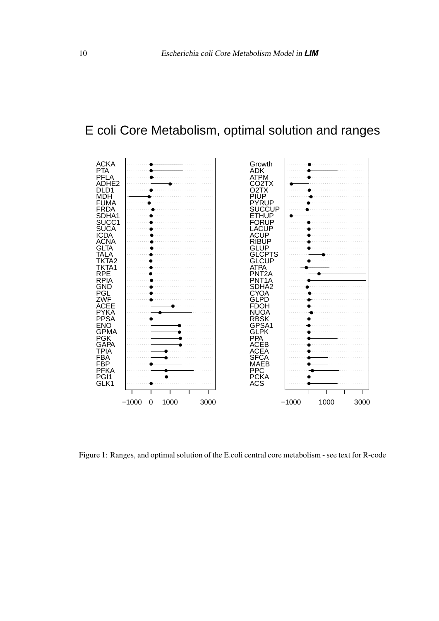# E coli Core Metabolism, optimal solution and ranges



Figure 1: Ranges, and optimal solution of the E.coli central core metabolism - see text for R-code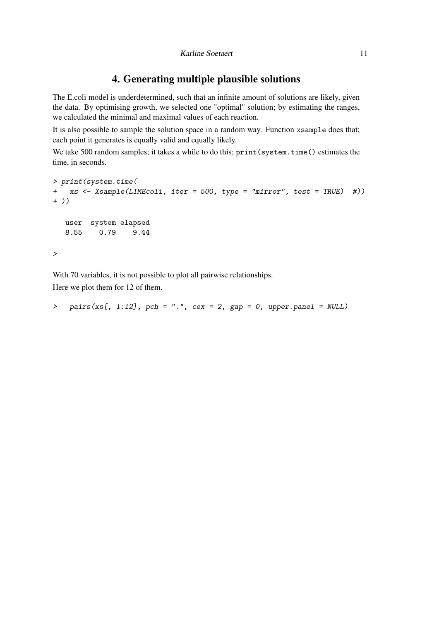## 4. Generating multiple plausible solutions

The E.coli model is underdetermined, such that an infinite amount of solutions are likely, given the data. By optimising growth, we selected one "optimal" solution; by estimating the ranges, we calculated the minimal and maximal values of each reaction.

It is also possible to sample the solution space in a random way. Function xsample does that; each point it generates is equally valid and equally likely.

We take 500 random samples; it takes a while to do this; print (system.time() estimates the time, in seconds.

```
> print(system.time(
+ xs <- Xsample(LIMEcoli, iter = 500, type = "mirror", test = TRUE) #))
+ ))
  user system elapsed
  8.55 0.79 9.44
>
```
With 70 variables, it is not possible to plot all pairwise relationships. Here we plot them for 12 of them.

```
> pairs(xs[, 1:12], pch = ".", cex = 2, gap = 0, upper.panel = NULL)
```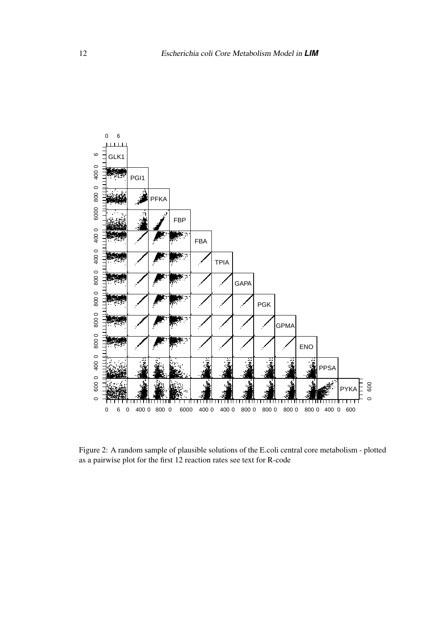

Figure 2: A random sample of plausible solutions of the E.coli central core metabolism - plotted as a pairwise plot for the first 12 reaction rates see text for R-code